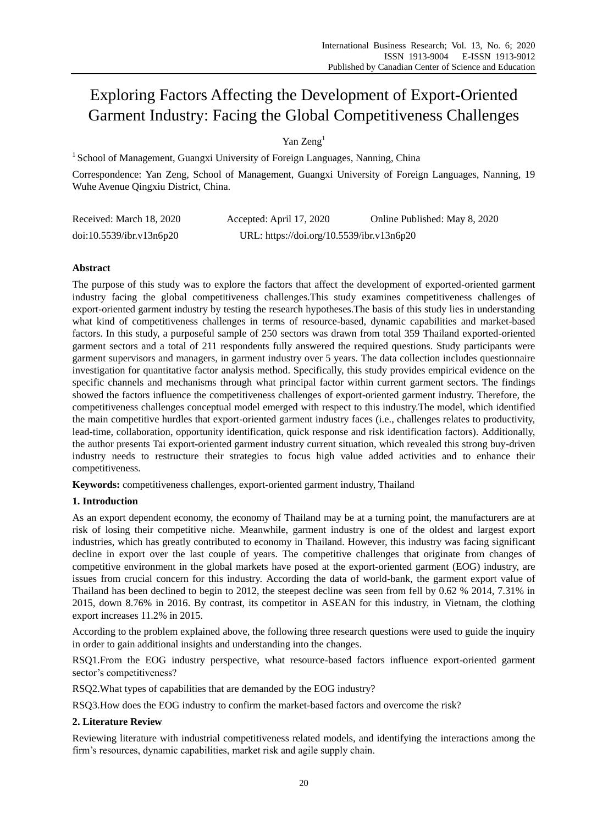# Exploring Factors Affecting the Development of Export-Oriented Garment Industry: Facing the Global Competitiveness Challenges

## Yan Zeng<sup>1</sup>

<sup>1</sup> School of Management, Guangxi University of Foreign Languages, Nanning, China

Correspondence: Yan Zeng, School of Management, Guangxi University of Foreign Languages, Nanning, 19 Wuhe Avenue Qingxiu District, China.

| Received: March 18, 2020 | Accepted: April 17, 2020                  | Online Published: May 8, 2020 |
|--------------------------|-------------------------------------------|-------------------------------|
| doi:10.5539/ibr.v13n6p20 | URL: https://doi.org/10.5539/ibr.v13n6p20 |                               |

## **Abstract**

The purpose of this study was to explore the factors that affect the development of exported-oriented garment industry facing the global competitiveness challenges.This study examines competitiveness challenges of export-oriented garment industry by testing the research hypotheses.The basis of this study lies in understanding what kind of competitiveness challenges in terms of resource-based, dynamic capabilities and market-based factors. In this study, a purposeful sample of 250 sectors was drawn from total 359 Thailand exported-oriented garment sectors and a total of 211 respondents fully answered the required questions. Study participants were garment supervisors and managers, in garment industry over 5 years. The data collection includes questionnaire investigation for quantitative factor analysis method. Specifically, this study provides empirical evidence on the specific channels and mechanisms through what principal factor within current garment sectors. The findings showed the factors influence the competitiveness challenges of export-oriented garment industry. Therefore, the competitiveness challenges conceptual model emerged with respect to this industry.The model, which identified the main competitive hurdles that export-oriented garment industry faces (i.e., challenges relates to productivity, lead-time, collaboration, opportunity identification, quick response and risk identification factors). Additionally, the author presents Tai export-oriented garment industry current situation, which revealed this strong buy-driven industry needs to restructure their strategies to focus high value added activities and to enhance their competitiveness.

**Keywords:** competitiveness challenges, export-oriented garment industry, Thailand

## **1. Introduction**

As an export dependent economy, the economy of Thailand may be at a turning point, the manufacturers are at risk of losing their competitive niche. Meanwhile, garment industry is one of the oldest and largest export industries, which has greatly contributed to economy in Thailand. However, this industry was facing significant decline in export over the last couple of years. The competitive challenges that originate from changes of competitive environment in the global markets have posed at the export-oriented garment (EOG) industry, are issues from crucial concern for this industry. According the data of world-bank, the garment export value of Thailand has been declined to begin to 2012, the steepest decline was seen from fell by 0.62 % 2014, 7.31% in 2015, down 8.76% in 2016. By contrast, its competitor in ASEAN for this industry, in Vietnam, the clothing export increases 11.2% in 2015.

According to the problem explained above, the following three research questions were used to guide the inquiry in order to gain additional insights and understanding into the changes.

RSQ1.From the EOG industry perspective, what resource-based factors influence export-oriented garment sector's competitiveness?

RSQ2.What types of capabilities that are demanded by the EOG industry?

RSQ3.How does the EOG industry to confirm the market-based factors and overcome the risk?

## **2. Literature Review**

Reviewing literature with industrial competitiveness related models, and identifying the interactions among the firm's resources, dynamic capabilities, market risk and agile supply chain.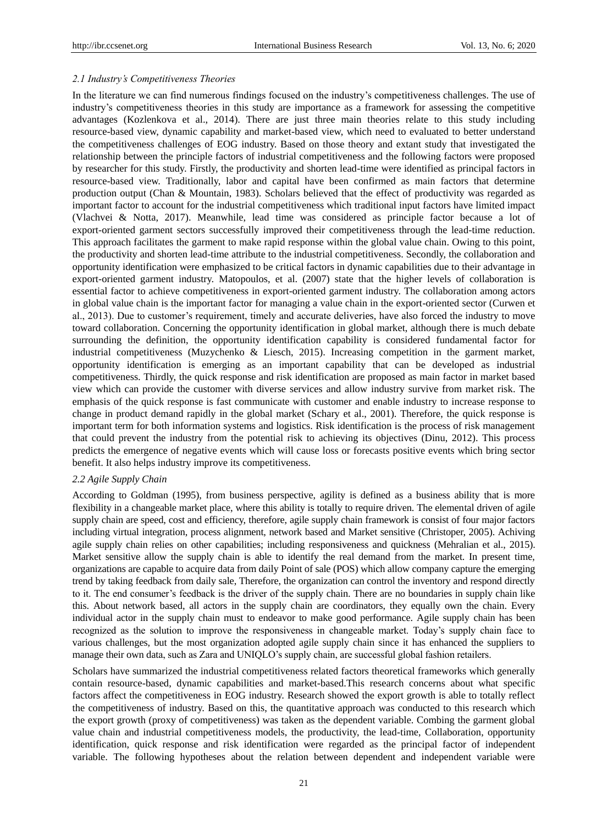#### *2.1 Industry's Competitiveness Theories*

In the literature we can find numerous findings focused on the industry's competitiveness challenges. The use of industry's competitiveness theories in this study are importance as a framework for assessing the competitive advantages (Kozlenkova et al., 2014). There are just three main theories relate to this study including resource-based view, dynamic capability and market-based view, which need to evaluated to better understand the competitiveness challenges of EOG industry. Based on those theory and extant study that investigated the relationship between the principle factors of industrial competitiveness and the following factors were proposed by researcher for this study. Firstly, the productivity and shorten lead-time were identified as principal factors in resource-based view. Traditionally, labor and capital have been confirmed as main factors that determine production output (Chan & Mountain, 1983). Scholars believed that the effect of productivity was regarded as important factor to account for the industrial competitiveness which traditional input factors have limited impact (Vlachvei & Notta, 2017). Meanwhile, lead time was considered as principle factor because a lot of export-oriented garment sectors successfully improved their competitiveness through the lead-time reduction. This approach facilitates the garment to make rapid response within the global value chain. Owing to this point, the productivity and shorten lead-time attribute to the industrial competitiveness. Secondly, the collaboration and opportunity identification were emphasized to be critical factors in dynamic capabilities due to their advantage in export-oriented garment industry. Matopoulos, et al. (2007) state that the higher levels of collaboration is essential factor to achieve competitiveness in export-oriented garment industry. The collaboration among actors in global value chain is the important factor for managing a value chain in the export-oriented sector (Curwen et al., 2013). Due to customer's requirement, timely and accurate deliveries, have also forced the industry to move toward collaboration. Concerning the opportunity identification in global market, although there is much debate surrounding the definition, the opportunity identification capability is considered fundamental factor for industrial competitiveness (Muzychenko & Liesch, 2015). Increasing competition in the garment market, opportunity identification is emerging as an important capability that can be developed as industrial competitiveness. Thirdly, the quick response and risk identification are proposed as main factor in market based view which can provide the customer with diverse services and allow industry survive from market risk. The emphasis of the quick response is fast communicate with customer and enable industry to increase response to change in product demand rapidly in the global market (Schary et al., 2001). Therefore, the quick response is important term for both information systems and logistics. Risk identification is the process of risk management that could prevent the industry from the potential risk to achieving its objectives (Dinu, 2012). This process predicts the emergence of negative events which will cause loss or forecasts positive events which bring sector benefit. It also helps industry improve its competitiveness.

#### *2.2 Agile Supply Chain*

According to Goldman (1995), from business perspective, agility is defined as a business ability that is more flexibility in a changeable market place, where this ability is totally to require driven. The elemental driven of agile supply chain are speed, cost and efficiency, therefore, agile supply chain framework is consist of four major factors including virtual integration, process alignment, network based and Market sensitive (Christoper, 2005). Achiving agile supply chain relies on other capabilities; including responsiveness and quickness (Mehralian et al., 2015). Market sensitive allow the supply chain is able to identify the real demand from the market. In present time, organizations are capable to acquire data from daily Point of sale (POS) which allow company capture the emerging trend by taking feedback from daily sale, Therefore, the organization can control the inventory and respond directly to it. The end consumer's feedback is the driver of the supply chain. There are no boundaries in supply chain like this. About network based, all actors in the supply chain are coordinators, they equally own the chain. Every individual actor in the supply chain must to endeavor to make good performance. Agile supply chain has been recognized as the solution to improve the responsiveness in changeable market. Today's supply chain face to various challenges, but the most organization adopted agile supply chain since it has enhanced the suppliers to manage their own data, such as Zara and UNIQLO's supply chain, are successful global fashion retailers.

Scholars have summarized the industrial competitiveness related factors theoretical frameworks which generally contain resource-based, dynamic capabilities and market-based.This research concerns about what specific factors affect the competitiveness in EOG industry. Research showed the export growth is able to totally reflect the competitiveness of industry. Based on this, the quantitative approach was conducted to this research which the export growth (proxy of competitiveness) was taken as the dependent variable. Combing the garment global value chain and industrial competitiveness models, the productivity, the lead-time, Collaboration, opportunity identification, quick response and risk identification were regarded as the principal factor of independent variable. The following hypotheses about the relation between dependent and independent variable were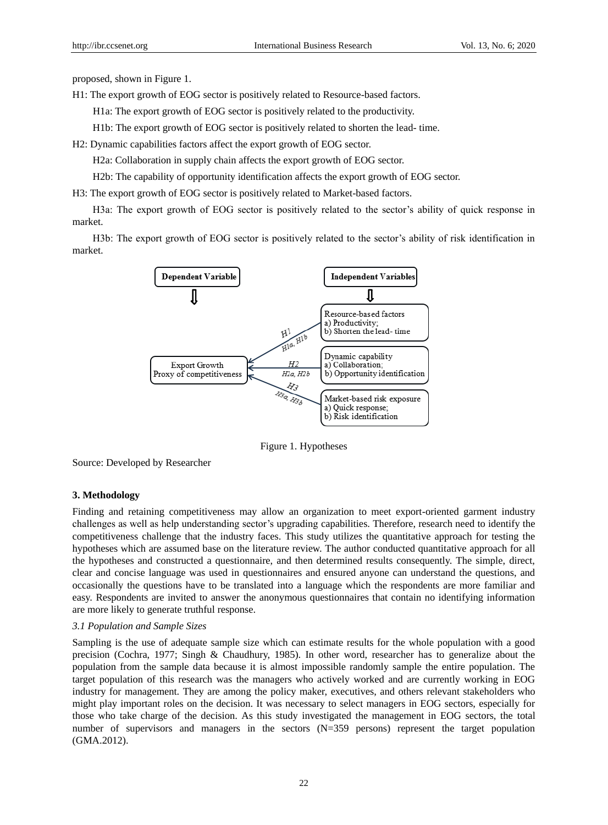proposed, shown in Figure 1.

H1: The export growth of EOG sector is positively related to Resource-based factors.

H1a: The export growth of EOG sector is positively related to the productivity.

H1b: The export growth of EOG sector is positively related to shorten the lead- time.

H2: Dynamic capabilities factors affect the export growth of EOG sector.

H2a: Collaboration in supply chain affects the export growth of EOG sector.

H2b: The capability of opportunity identification affects the export growth of EOG sector.

H3: The export growth of EOG sector is positively related to Market-based factors.

H3a: The export growth of EOG sector is positively related to the sector's ability of quick response in market.

H3b: The export growth of EOG sector is positively related to the sector's ability of risk identification in market.



Figure 1. Hypotheses

Source: Developed by Researcher

#### **3. Methodology**

Finding and retaining competitiveness may allow an organization to meet export-oriented garment industry challenges as well as help understanding sector's upgrading capabilities. Therefore, research need to identify the competitiveness challenge that the industry faces. This study utilizes the quantitative approach for testing the hypotheses which are assumed base on the literature review. The author conducted quantitative approach for all the hypotheses and constructed a questionnaire, and then determined results consequently. The simple, direct, clear and concise language was used in questionnaires and ensured anyone can understand the questions, and occasionally the questions have to be translated into a language which the respondents are more familiar and easy. Respondents are invited to answer the anonymous questionnaires that contain no identifying information are more likely to generate truthful response.

#### *3.1 Population and Sample Sizes*

Sampling is the use of adequate sample size which can estimate results for the whole population with a good precision (Cochra, 1977; Singh & Chaudhury, 1985). In other word, researcher has to generalize about the population from the sample data because it is almost impossible randomly sample the entire population. The target population of this research was the managers who actively worked and are currently working in EOG industry for management. They are among the policy maker, executives, and others relevant stakeholders who might play important roles on the decision. It was necessary to select managers in EOG sectors, especially for those who take charge of the decision. As this study investigated the management in EOG sectors, the total number of supervisors and managers in the sectors (N=359 persons) represent the target population (GMA.2012).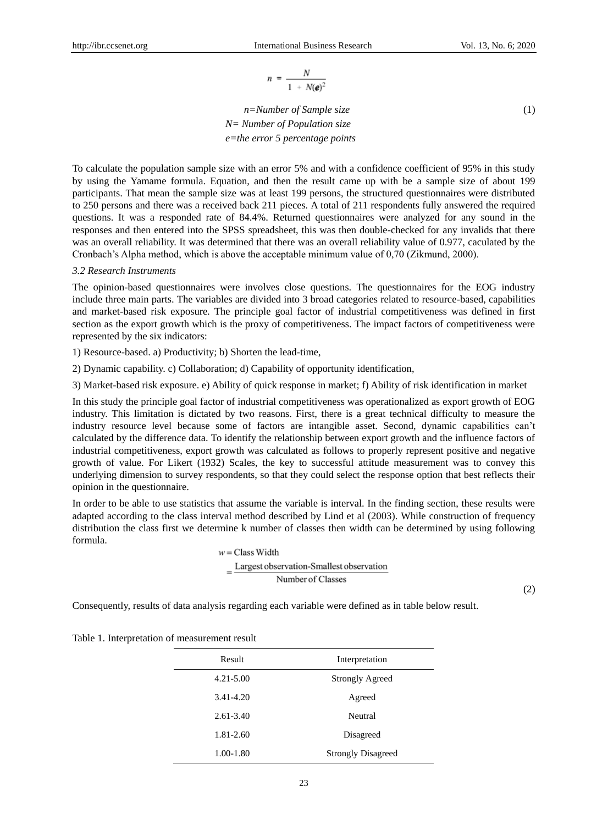$$
n = \frac{N}{1 + N(\pmb{e})^2}
$$

*n=Number of Sample size* (1) *N= Number of Population size e=the error 5 percentage points* 

To calculate the population sample size with an error 5% and with a confidence coefficient of 95% in this study by using the Yamame formula. Equation, and then the result came up with be a sample size of about 199 participants. That mean the sample size was at least 199 persons, the structured questionnaires were distributed to 250 persons and there was a received back 211 pieces. A total of 211 respondents fully answered the required questions. It was a responded rate of 84.4%. Returned questionnaires were analyzed for any sound in the responses and then entered into the SPSS spreadsheet, this was then double-checked for any invalids that there was an overall reliability. It was determined that there was an overall reliability value of 0.977, caculated by the Cronbach's Alpha method, which is above the acceptable minimum value of 0,70 (Zikmund, 2000).

#### *3.2 Research Instruments*

The opinion-based questionnaires were involves close questions. The questionnaires for the EOG industry include three main parts. The variables are divided into 3 broad categories related to resource-based, capabilities and market-based risk exposure. The principle goal factor of industrial competitiveness was defined in first section as the export growth which is the proxy of competitiveness. The impact factors of competitiveness were represented by the six indicators:

1) Resource-based. a) Productivity; b) Shorten the lead-time,

2) Dynamic capability. c) Collaboration; d) Capability of opportunity identification,

3) Market-based risk exposure. e) Ability of quick response in market; f) Ability of risk identification in market

In this study the principle goal factor of industrial competitiveness was operationalized as export growth of EOG industry. This limitation is dictated by two reasons. First, there is a great technical difficulty to measure the industry resource level because some of factors are intangible asset. Second, dynamic capabilities can't calculated by the difference data. To identify the relationship between export growth and the influence factors of industrial competitiveness, export growth was calculated as follows to properly represent positive and negative growth of value. For Likert (1932) Scales, the key to successful attitude measurement was to convey this underlying dimension to survey respondents, so that they could select the response option that best reflects their opinion in the questionnaire.

In order to be able to use statistics that assume the variable is interval. In the finding section, these results were adapted according to the class interval method described by Lind et al (2003). While construction of frequency distribution the class first we determine k number of classes then width can be determined by using following formula.

> $w = Class Width$  $=\frac{Largest\ observation-Smallest\ observation}{2}$ Number of Classes

(2)

Consequently, results of data analysis regarding each variable were defined as in table below result.

| Result        | Interpretation            |
|---------------|---------------------------|
| $4.21 - 5.00$ | <b>Strongly Agreed</b>    |
| 3.41-4.20     | Agreed                    |
| $2.61 - 3.40$ | Neutral                   |
| 1.81-2.60     | Disagreed                 |
| 1.00-1.80     | <b>Strongly Disagreed</b> |

Table 1. Interpretation of measurement result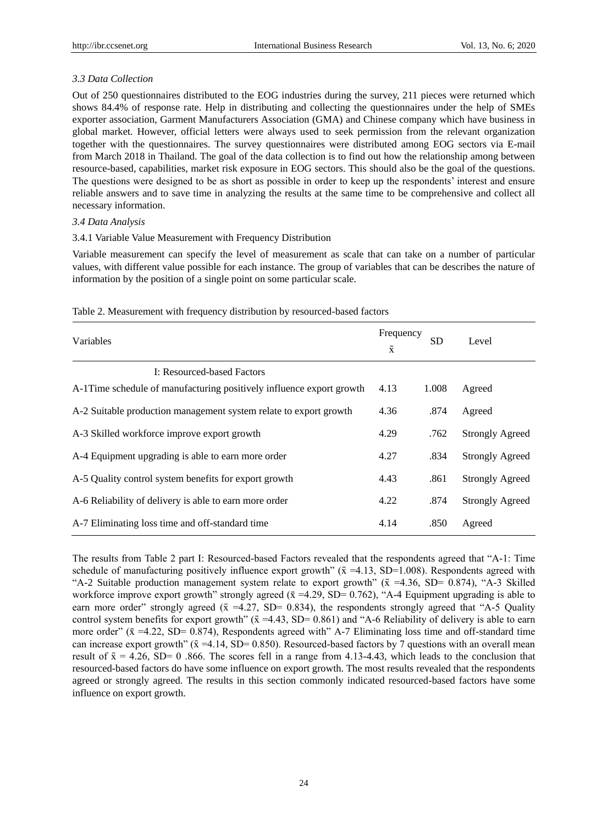## *3.3 Data Collection*

Out of 250 questionnaires distributed to the EOG industries during the survey, 211 pieces were returned which shows 84.4% of response rate. Help in distributing and collecting the questionnaires under the help of SMEs exporter association, Garment Manufacturers Association (GMA) and Chinese company which have business in global market. However, official letters were always used to seek permission from the relevant organization together with the questionnaires. The survey questionnaires were distributed among EOG sectors via E-mail from March 2018 in Thailand. The goal of the data collection is to find out how the relationship among between resource-based, capabilities, market risk exposure in EOG sectors. This should also be the goal of the questions. The questions were designed to be as short as possible in order to keep up the respondents' interest and ensure reliable answers and to save time in analyzing the results at the same time to be comprehensive and collect all necessary information.

## *3.4 Data Analysis*

## 3.4.1 Variable Value Measurement with Frequency Distribution

Variable measurement can specify the level of measurement as scale that can take on a number of particular values, with different value possible for each instance. The group of variables that can be describes the nature of information by the position of a single point on some particular scale.

| Variables                                                            | Frequency<br>$\bar{x}$ | <b>SD</b> | Level                  |
|----------------------------------------------------------------------|------------------------|-----------|------------------------|
| <b>I: Resourced-based Factors</b>                                    |                        |           |                        |
| A-1Time schedule of manufacturing positively influence export growth | 4.13                   | 1.008     | Agreed                 |
| A-2 Suitable production management system relate to export growth    | 4.36                   | .874      | Agreed                 |
| A-3 Skilled workforce improve export growth                          | 4.29                   | .762      | <b>Strongly Agreed</b> |
| A-4 Equipment upgrading is able to earn more order                   | 4.27                   | .834      | <b>Strongly Agreed</b> |
| A-5 Quality control system benefits for export growth                | 4.43                   | .861      | <b>Strongly Agreed</b> |
| A-6 Reliability of delivery is able to earn more order               | 4.22                   | .874      | <b>Strongly Agreed</b> |
| A-7 Eliminating loss time and off-standard time                      | 4.14                   | .850      | Agreed                 |

#### Table 2. Measurement with frequency distribution by resourced-based factors

The results from Table 2 part I: Resourced-based Factors revealed that the respondents agreed that "A-1: Time schedule of manufacturing positively influence export growth" ( $\bar{x}$  =4.13, SD=1.008). Respondents agreed with "A-2 Suitable production management system relate to export growth" ( $\bar{x}$  =4.36, SD= 0.874), "A-3 Skilled workforce improve export growth" strongly agreed ( $\bar{x}$  =4.29, SD= 0.762), "A-4 Equipment upgrading is able to earn more order" strongly agreed ( $\bar{x}$  =4.27, SD= 0.834), the respondents strongly agreed that "A-5 Quality control system benefits for export growth" ( $\bar{x}$  =4.43, SD= 0.861) and "A-6 Reliability of delivery is able to earn more order"  $(\bar{x} = 4.22, SD = 0.874)$ , Respondents agreed with" A-7 Eliminating loss time and off-standard time can increase export growth" ( $\bar{x}$  =4.14, SD= 0.850). Resourced-based factors by 7 questions with an overall mean result of  $\bar{x} = 4.26$ , SD= 0.866. The scores fell in a range from 4.13-4.43, which leads to the conclusion that resourced-based factors do have some influence on export growth. The most results revealed that the respondents agreed or strongly agreed. The results in this section commonly indicated resourced-based factors have some influence on export growth.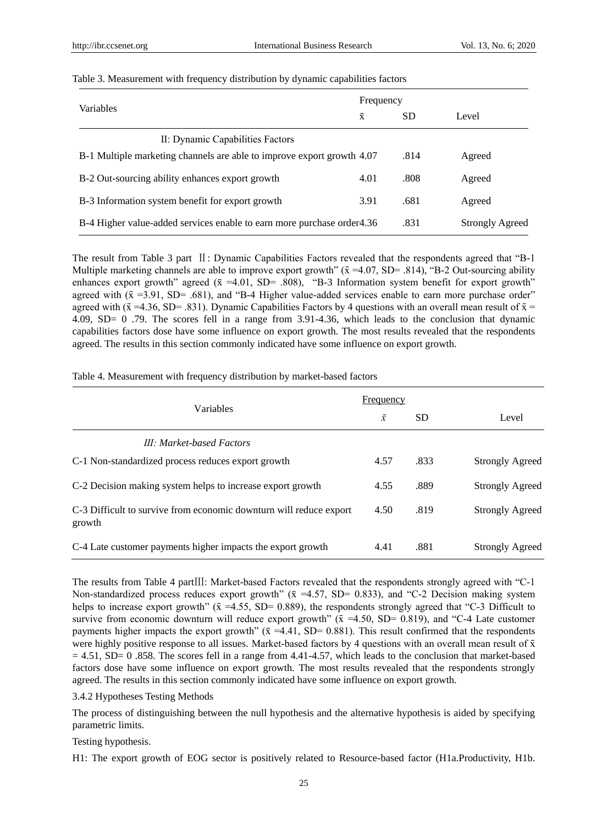|                                                                         | Frequency |           |                        |
|-------------------------------------------------------------------------|-----------|-----------|------------------------|
| <b>Variables</b>                                                        |           | <b>SD</b> | Level                  |
| II: Dynamic Capabilities Factors                                        |           |           |                        |
| B-1 Multiple marketing channels are able to improve export growth 4.07  |           | .814      | Agreed                 |
| B-2 Out-sourcing ability enhances export growth                         | 4.01      | .808      | Agreed                 |
| B-3 Information system benefit for export growth                        | 3.91      | .681      | Agreed                 |
| B-4 Higher value-added services enable to earn more purchase order 4.36 |           | .831      | <b>Strongly Agreed</b> |

#### Table 3. Measurement with frequency distribution by dynamic capabilities factors

The result from Table 3 part Ⅱ: Dynamic Capabilities Factors revealed that the respondents agreed that "B-1 Multiple marketing channels are able to improve export growth" ( $\bar{x}$  =4.07, SD= .814), "B-2 Out-sourcing ability enhances export growth" agreed  $(\bar{x} = 4.01, SD = .808)$ , "B-3 Information system benefit for export growth" agreed with  $(\bar{x} = 3.91, SD = .681)$ , and "B-4 Higher value-added services enable to earn more purchase order" agreed with ( $\bar{x}$  =4.36, SD= .831). Dynamic Capabilities Factors by 4 questions with an overall mean result of  $\bar{x}$  = 4.09, SD= 0 .79. The scores fell in a range from 3.91-4.36, which leads to the conclusion that dynamic capabilities factors dose have some influence on export growth. The most results revealed that the respondents agreed. The results in this section commonly indicated have some influence on export growth.

| Table 4. Measurement with frequency distribution by market-based factors |  |  |  |
|--------------------------------------------------------------------------|--|--|--|
|--------------------------------------------------------------------------|--|--|--|

|                                                                              | Frequency |           |                        |
|------------------------------------------------------------------------------|-----------|-----------|------------------------|
| Variables                                                                    | $\bar{x}$ | <b>SD</b> | Level                  |
| <b>III: Market-based Factors</b>                                             |           |           |                        |
| C-1 Non-standardized process reduces export growth                           | 4.57      | .833      | <b>Strongly Agreed</b> |
| C-2 Decision making system helps to increase export growth                   | 4.55      | .889      | <b>Strongly Agreed</b> |
| C-3 Difficult to survive from economic downturn will reduce export<br>growth | 4.50      | .819      | <b>Strongly Agreed</b> |
| C-4 Late customer payments higher impacts the export growth                  | 4.41      | .881      | <b>Strongly Agreed</b> |

The results from Table 4 partⅢ: Market-based Factors revealed that the respondents strongly agreed with "C-1 Non-standardized process reduces export growth" ( $\bar{x}$  =4.57, SD= 0.833), and "C-2 Decision making system helps to increase export growth" ( $\bar{x}$  =4.55, SD= 0.889), the respondents strongly agreed that "C-3 Difficult to survive from economic downturn will reduce export growth" ( $\bar{x}$  =4.50, SD= 0.819), and "C-4 Late customer payments higher impacts the export growth" ( $\bar{x}$  =4.41, SD= 0.881). This result confirmed that the respondents were highly positive response to all issues. Market-based factors by 4 questions with an overall mean result of  $\bar{x}$  $= 4.51$ , SD= 0 .858. The scores fell in a range from 4.41-4.57, which leads to the conclusion that market-based factors dose have some influence on export growth. The most results revealed that the respondents strongly agreed. The results in this section commonly indicated have some influence on export growth.

#### 3.4.2 Hypotheses Testing Methods

The process of distinguishing between the null hypothesis and the alternative hypothesis is aided by specifying parametric limits.

#### Testing hypothesis.

H1: The export growth of EOG sector is positively related to Resource-based factor (H1a.Productivity, H1b.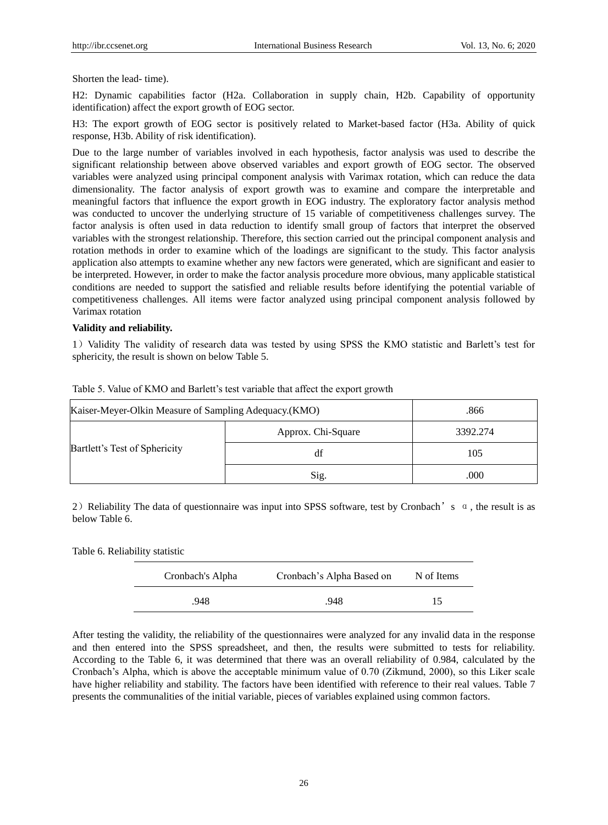Shorten the lead- time).

H2: Dynamic capabilities factor (H2a. Collaboration in supply chain, H2b. Capability of opportunity identification) affect the export growth of EOG sector.

H3: The export growth of EOG sector is positively related to Market-based factor (H3a. Ability of quick response, H3b. Ability of risk identification).

Due to the large number of variables involved in each hypothesis, factor analysis was used to describe the significant relationship between above observed variables and export growth of EOG sector. The observed variables were analyzed using principal component analysis with Varimax rotation, which can reduce the data dimensionality. The factor analysis of export growth was to examine and compare the interpretable and meaningful factors that influence the export growth in EOG industry. The exploratory factor analysis method was conducted to uncover the underlying structure of 15 variable of competitiveness challenges survey. The factor analysis is often used in data reduction to identify small group of factors that interpret the observed variables with the strongest relationship. Therefore, this section carried out the principal component analysis and rotation methods in order to examine which of the loadings are significant to the study. This factor analysis application also attempts to examine whether any new factors were generated, which are significant and easier to be interpreted. However, in order to make the factor analysis procedure more obvious, many applicable statistical conditions are needed to support the satisfied and reliable results before identifying the potential variable of competitiveness challenges. All items were factor analyzed using principal component analysis followed by Varimax rotation

#### **Validity and reliability.**

1) Validity The validity of research data was tested by using SPSS the KMO statistic and Barlett's test for sphericity, the result is shown on below Table 5.

| Kaiser-Meyer-Olkin Measure of Sampling Adequacy. (KMO) |                    | .866     |
|--------------------------------------------------------|--------------------|----------|
| Bartlett's Test of Sphericity                          | Approx. Chi-Square | 3392.274 |
|                                                        | df                 | 105      |
|                                                        | Sig.               | .000     |

Table 5. Value of KMO and Barlett's test variable that affect the export growth

2) Reliability The data of questionnaire was input into SPSS software, test by Cronbach's  $\alpha$ , the result is as below Table 6.

Table 6. Reliability statistic

| Cronbach's Alpha | Cronbach's Alpha Based on | N of Items |
|------------------|---------------------------|------------|
| .948             | .948                      | 15         |

After testing the validity, the reliability of the questionnaires were analyzed for any invalid data in the response and then entered into the SPSS spreadsheet, and then, the results were submitted to tests for reliability. According to the Table 6, it was determined that there was an overall reliability of 0.984, calculated by the Cronbach's Alpha, which is above the acceptable minimum value of 0.70 (Zikmund, 2000), so this Liker scale have higher reliability and stability. The factors have been identified with reference to their real values. Table 7 presents the communalities of the initial variable, pieces of variables explained using common factors.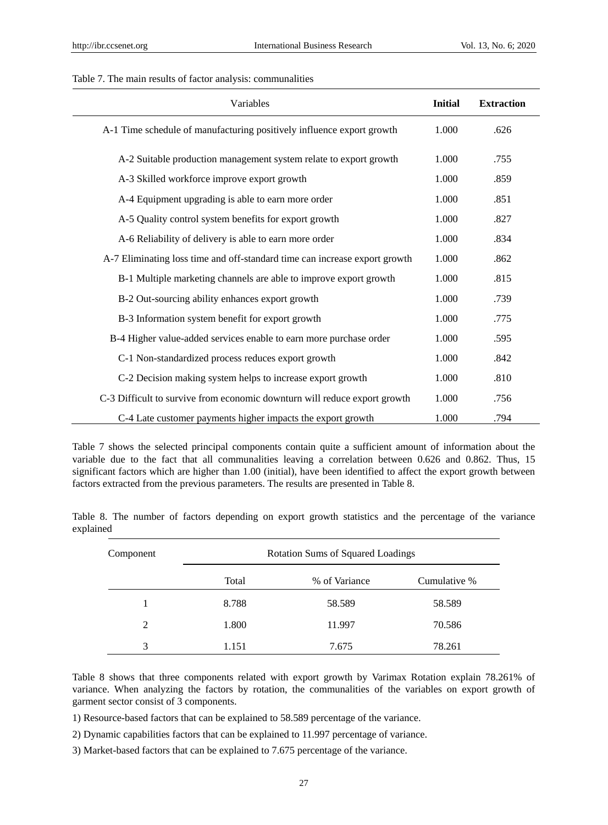#### Table 7. The main results of factor analysis: communalities

| Variables                                                                  | <b>Initial</b> | <b>Extraction</b> |
|----------------------------------------------------------------------------|----------------|-------------------|
| A-1 Time schedule of manufacturing positively influence export growth      | 1.000          | .626              |
| A-2 Suitable production management system relate to export growth          | 1.000          | .755              |
| A-3 Skilled workforce improve export growth                                | 1.000          | .859              |
| A-4 Equipment upgrading is able to earn more order                         | 1.000          | .851              |
| A-5 Quality control system benefits for export growth                      | 1.000          | .827              |
| A-6 Reliability of delivery is able to earn more order                     | 1.000          | .834              |
| A-7 Eliminating loss time and off-standard time can increase export growth | 1.000          | .862              |
| B-1 Multiple marketing channels are able to improve export growth          | 1.000          | .815              |
| B-2 Out-sourcing ability enhances export growth                            | 1.000          | .739              |
| B-3 Information system benefit for export growth                           | 1.000          | .775              |
| B-4 Higher value-added services enable to earn more purchase order         | 1.000          | .595              |
| C-1 Non-standardized process reduces export growth                         | 1.000          | .842              |
| C-2 Decision making system helps to increase export growth                 | 1.000          | .810              |
| C-3 Difficult to survive from economic downturn will reduce export growth  | 1.000          | .756              |
| C-4 Late customer payments higher impacts the export growth                | 1.000          | .794              |

Table 7 shows the selected principal components contain quite a sufficient amount of information about the variable due to the fact that all communalities leaving a correlation between 0.626 and 0.862. Thus, 15 significant factors which are higher than 1.00 (initial), have been identified to affect the export growth between factors extracted from the previous parameters. The results are presented in Table 8.

Table 8. The number of factors depending on export growth statistics and the percentage of the variance explained

| Component     | <b>Rotation Sums of Squared Loadings</b> |               |              |  |
|---------------|------------------------------------------|---------------|--------------|--|
|               | Total                                    | % of Variance | Cumulative % |  |
|               | 8.788                                    | 58.589        | 58.589       |  |
| $\mathcal{L}$ | 1.800                                    | 11.997        | 70.586       |  |
| 3             | 1.151                                    | 7.675         | 78.261       |  |

Table 8 shows that three components related with export growth by Varimax Rotation explain 78.261% of variance. When analyzing the factors by rotation, the communalities of the variables on export growth of garment sector consist of 3 components.

1) Resource-based factors that can be explained to 58.589 percentage of the variance.

2) Dynamic capabilities factors that can be explained to 11.997 percentage of variance.

3) Market-based factors that can be explained to 7.675 percentage of the variance.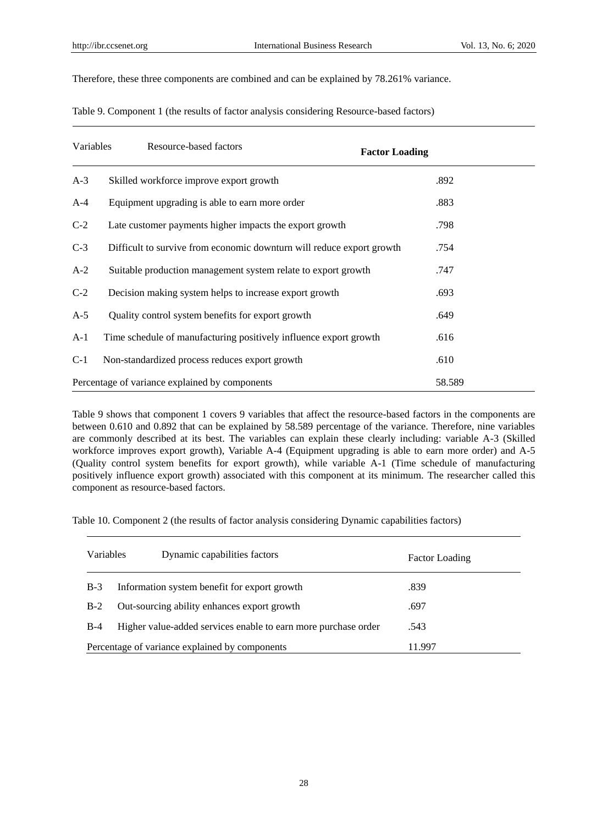Therefore, these three components are combined and can be explained by 78.261% variance.

| Table 9. Component 1 (the results of factor analysis considering Resource-based factors) |  |  |  |
|------------------------------------------------------------------------------------------|--|--|--|
|                                                                                          |  |  |  |

| Variables | Resource-based factors                                                | <b>Factor Loading</b> |
|-----------|-----------------------------------------------------------------------|-----------------------|
| $A-3$     | Skilled workforce improve export growth                               | .892                  |
| $A-4$     | Equipment upgrading is able to earn more order                        | .883                  |
| $C-2$     | Late customer payments higher impacts the export growth               | .798                  |
| $C-3$     | Difficult to survive from economic downturn will reduce export growth | .754                  |
| $A-2$     | Suitable production management system relate to export growth         | .747                  |
| $C-2$     | Decision making system helps to increase export growth                | .693                  |
| $A-5$     | Quality control system benefits for export growth                     | .649                  |
| $A-1$     | Time schedule of manufacturing positively influence export growth     | .616                  |
| $C-1$     | Non-standardized process reduces export growth                        | .610                  |
|           | Percentage of variance explained by components                        | 58.589                |

Table 9 shows that component 1 covers 9 variables that affect the resource-based factors in the components are between 0.610 and 0.892 that can be explained by 58.589 percentage of the variance. Therefore, nine variables are commonly described at its best. The variables can explain these clearly including: variable A-3 (Skilled workforce improves export growth), Variable A-4 (Equipment upgrading is able to earn more order) and A-5 (Quality control system benefits for export growth), while variable A-1 (Time schedule of manufacturing positively influence export growth) associated with this component at its minimum. The researcher called this component as resource-based factors.

Table 10. Component 2 (the results of factor analysis considering Dynamic capabilities factors)

| <b>Variables</b>                               | Dynamic capabilities factors                                   | <b>Factor Loading</b> |
|------------------------------------------------|----------------------------------------------------------------|-----------------------|
| $B-3$                                          | Information system benefit for export growth                   | .839                  |
| $B-2$                                          | Out-sourcing ability enhances export growth                    | .697                  |
| $B-4$                                          | Higher value-added services enable to earn more purchase order | .543                  |
| Percentage of variance explained by components |                                                                | 11.997                |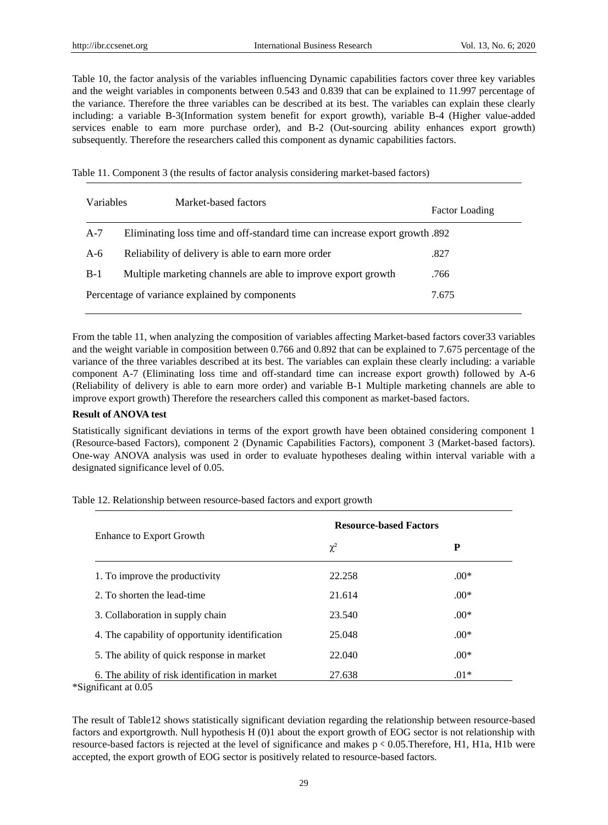Table 10, the factor analysis of the variables influencing Dynamic capabilities factors cover three key variables and the weight variables in components between 0.543 and 0.839 that can be explained to 11.997 percentage of the variance. Therefore the three variables can be described at its best. The variables can explain these clearly including: a variable B-3(Information system benefit for export growth), variable B-4 (Higher value-added services enable to earn more purchase order), and B-2 (Out-sourcing ability enhances export growth) subsequently. Therefore the researchers called this component as dynamic capabilities factors.

Table 11. Component 3 (the results of factor analysis considering market-based factors)

| Variables                                      | Market-based factors                                                        | <b>Factor Loading</b> |
|------------------------------------------------|-----------------------------------------------------------------------------|-----------------------|
| $A-7$                                          | Eliminating loss time and off-standard time can increase export growth .892 |                       |
| $A-6$                                          | Reliability of delivery is able to earn more order                          | .827                  |
| $B-1$                                          | Multiple marketing channels are able to improve export growth               | .766                  |
| Percentage of variance explained by components | 7.675                                                                       |                       |

From the table 11, when analyzing the composition of variables affecting Market-based factors cover33 variables and the weight variable in composition between 0.766 and 0.892 that can be explained to 7.675 percentage of the variance of the three variables described at its best. The variables can explain these clearly including: a variable component A-7 (Eliminating loss time and off-standard time can increase export growth) followed by A-6 (Reliability of delivery is able to earn more order) and variable B-1 Multiple marketing channels are able to improve export growth) Therefore the researchers called this component as market-based factors.

#### **Result of ANOVA test**

Statistically significant deviations in terms of the export growth have been obtained considering component 1 (Resource-based Factors), component 2 (Dynamic Capabilities Factors), component 3 (Market-based factors). One-way ANOVA analysis was used in order to evaluate hypotheses dealing within interval variable with a designated significance level of 0.05.

Enhance to Export Growth **Resource-based Factors**  $\chi^2$  **P** 1. To improve the productivity 22.258 .00\* 2. To shorten the lead-time  $21.614$  .00\* 3. Collaboration in supply chain  $23.540$  .00\* 4. The capability of opportunity identification  $25.048$  .00\* 5. The ability of quick response in market 22.040 .00\* 6. The ability of risk identification in market 27.638 .01\*

Table 12. Relationship between resource-based factors and export growth

\*Significant at 0.05

The result of Table12 shows statistically significant deviation regarding the relationship between resource-based factors and exportgrowth. Null hypothesis H (0)1 about the export growth of EOG sector is not relationship with resource-based factors is rejected at the level of significance and makes p < 0.05. Therefore, H1, H1a, H1b were accepted, the export growth of EOG sector is positively related to resource-based factors.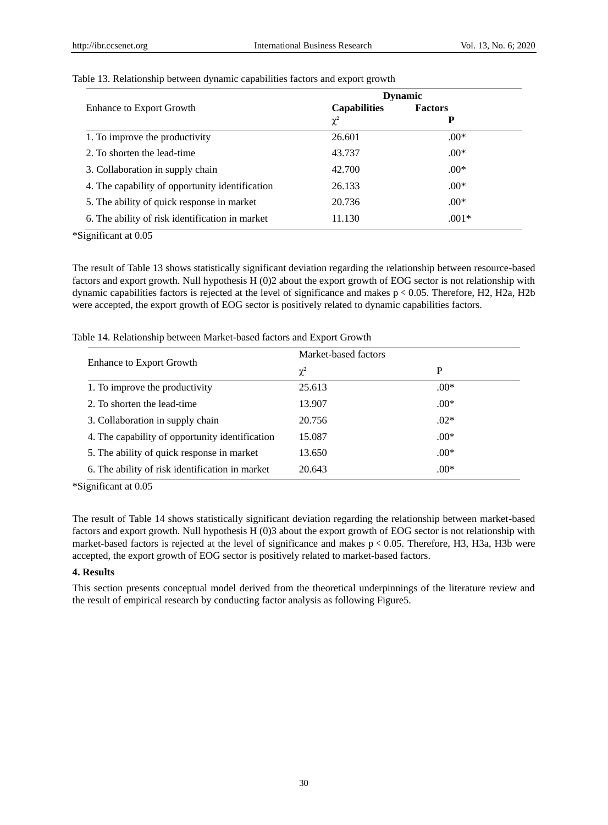|                                                 | <b>Dynamic</b>      |                |
|-------------------------------------------------|---------------------|----------------|
| Enhance to Export Growth                        | <b>Capabilities</b> | <b>Factors</b> |
|                                                 | $\chi^2$            | P              |
| 1. To improve the productivity                  | 26.601              | $.00*$         |
| 2. To shorten the lead-time                     | 43.737              | $.00*$         |
| 3. Collaboration in supply chain                | 42.700              | $.00*$         |
| 4. The capability of opportunity identification | 26.133              | $.00*$         |
| 5. The ability of quick response in market      | 20.736              | $.00*$         |
| 6. The ability of risk identification in market | 11.130              | $.001*$        |

#### Table 13. Relationship between dynamic capabilities factors and export growth

\*Significant at 0.05

The result of Table 13 shows statistically significant deviation regarding the relationship between resource-based factors and export growth. Null hypothesis H (0)2 about the export growth of EOG sector is not relationship with dynamic capabilities factors is rejected at the level of significance and makes p < 0.05. Therefore, H2, H2a, H2b were accepted, the export growth of EOG sector is positively related to dynamic capabilities factors.

|                                                 | Market-based factors |        |
|-------------------------------------------------|----------------------|--------|
| <b>Enhance to Export Growth</b>                 | $\chi^2$             | P      |
| 1. To improve the productivity                  | 25.613               | $.00*$ |
| 2. To shorten the lead-time                     | 13.907               | $.00*$ |
| 3. Collaboration in supply chain                | 20.756               | $.02*$ |
| 4. The capability of opportunity identification | 15.087               | $.00*$ |
| 5. The ability of quick response in market      | 13.650               | $.00*$ |
| 6. The ability of risk identification in market | 20.643               | $.00*$ |

Table 14. Relationship between Market-based factors and Export Growth

\*Significant at 0.05

The result of Table 14 shows statistically significant deviation regarding the relationship between market-based factors and export growth. Null hypothesis H (0)3 about the export growth of EOG sector is not relationship with market-based factors is rejected at the level of significance and makes  $p \le 0.05$ . Therefore, H3, H3a, H3b were accepted, the export growth of EOG sector is positively related to market-based factors.

#### **4. Results**

This section presents conceptual model derived from the theoretical underpinnings of the literature review and the result of empirical research by conducting factor analysis as following Figure5.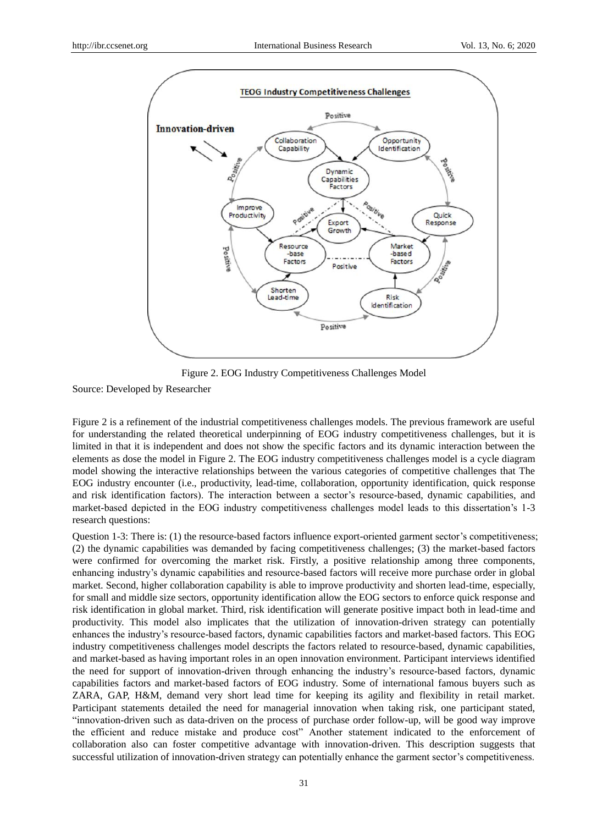

Figure 2. EOG Industry Competitiveness Challenges Model

Source: Developed by Researcher

Figure 2 is a refinement of the industrial competitiveness challenges models. The previous framework are useful for understanding the related theoretical underpinning of EOG industry competitiveness challenges, but it is limited in that it is independent and does not show the specific factors and its dynamic interaction between the elements as dose the model in Figure 2. The EOG industry competitiveness challenges model is a cycle diagram model showing the interactive relationships between the various categories of competitive challenges that The EOG industry encounter (i.e., productivity, lead-time, collaboration, opportunity identification, quick response and risk identification factors). The interaction between a sector's resource-based, dynamic capabilities, and market-based depicted in the EOG industry competitiveness challenges model leads to this dissertation's 1-3 research questions:

Question 1-3: There is: (1) the resource-based factors influence export-oriented garment sector's competitiveness; (2) the dynamic capabilities was demanded by facing competitiveness challenges; (3) the market-based factors were confirmed for overcoming the market risk. Firstly, a positive relationship among three components, enhancing industry's dynamic capabilities and resource-based factors will receive more purchase order in global market. Second, higher collaboration capability is able to improve productivity and shorten lead-time, especially, for small and middle size sectors, opportunity identification allow the EOG sectors to enforce quick response and risk identification in global market. Third, risk identification will generate positive impact both in lead-time and productivity. This model also implicates that the utilization of innovation-driven strategy can potentially enhances the industry's resource-based factors, dynamic capabilities factors and market-based factors. This EOG industry competitiveness challenges model descripts the factors related to resource-based, dynamic capabilities, and market-based as having important roles in an open innovation environment. Participant interviews identified the need for support of innovation-driven through enhancing the industry's resource-based factors, dynamic capabilities factors and market-based factors of EOG industry. Some of international famous buyers such as ZARA, GAP, H&M, demand very short lead time for keeping its agility and flexibility in retail market. Participant statements detailed the need for managerial innovation when taking risk, one participant stated, "innovation-driven such as data-driven on the process of purchase order follow-up, will be good way improve the efficient and reduce mistake and produce cost" Another statement indicated to the enforcement of collaboration also can foster competitive advantage with innovation-driven. This description suggests that successful utilization of innovation-driven strategy can potentially enhance the garment sector's competitiveness.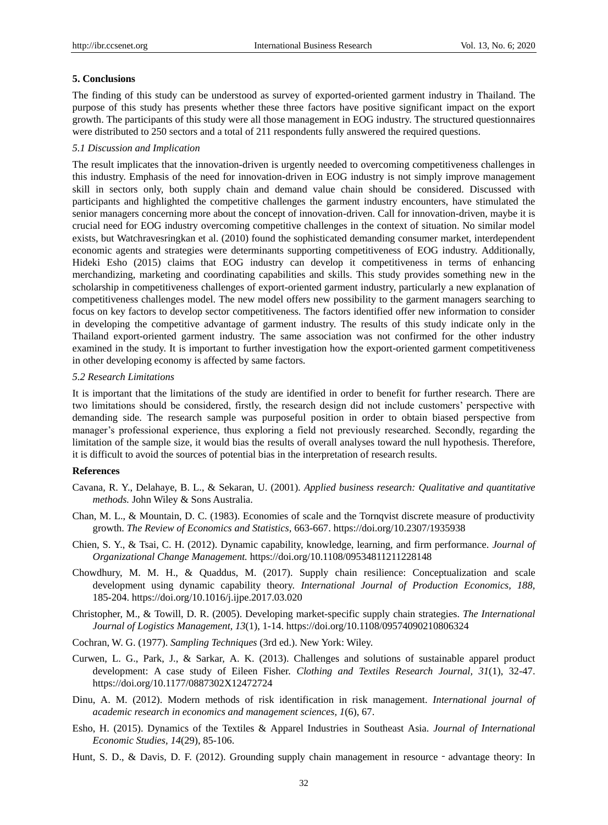#### **5. Conclusions**

The finding of this study can be understood as survey of exported-oriented garment industry in Thailand. The purpose of this study has presents whether these three factors have positive significant impact on the export growth. The participants of this study were all those management in EOG industry. The structured questionnaires were distributed to 250 sectors and a total of 211 respondents fully answered the required questions.

#### *5.1 Discussion and Implication*

The result implicates that the innovation-driven is urgently needed to overcoming competitiveness challenges in this industry. Emphasis of the need for innovation-driven in EOG industry is not simply improve management skill in sectors only, both supply chain and demand value chain should be considered. Discussed with participants and highlighted the competitive challenges the garment industry encounters, have stimulated the senior managers concerning more about the concept of innovation-driven. Call for innovation-driven, maybe it is crucial need for EOG industry overcoming competitive challenges in the context of situation. No similar model exists, but Watchravesringkan et al. (2010) found the sophisticated demanding consumer market, interdependent economic agents and strategies were determinants supporting competitiveness of EOG industry. Additionally, Hideki Esho (2015) claims that EOG industry can develop it competitiveness in terms of enhancing merchandizing, marketing and coordinating capabilities and skills. This study provides something new in the scholarship in competitiveness challenges of export-oriented garment industry, particularly a new explanation of competitiveness challenges model. The new model offers new possibility to the garment managers searching to focus on key factors to develop sector competitiveness. The factors identified offer new information to consider in developing the competitive advantage of garment industry. The results of this study indicate only in the Thailand export-oriented garment industry. The same association was not confirmed for the other industry examined in the study. It is important to further investigation how the export-oriented garment competitiveness in other developing economy is affected by same factors.

#### *5.2 Research Limitations*

It is important that the limitations of the study are identified in order to benefit for further research. There are two limitations should be considered, firstly, the research design did not include customers' perspective with demanding side. The research sample was purposeful position in order to obtain biased perspective from manager's professional experience, thus exploring a field not previously researched. Secondly, regarding the limitation of the sample size, it would bias the results of overall analyses toward the null hypothesis. Therefore, it is difficult to avoid the sources of potential bias in the interpretation of research results.

## **References**

- Cavana, R. Y., Delahaye, B. L., & Sekaran, U. (2001). *Applied business research: Qualitative and quantitative methods.* John Wiley & Sons Australia.
- Chan, M. L., & Mountain, D. C. (1983). Economies of scale and the Tornqvist discrete measure of productivity growth. *The Review of Economics and Statistics,* 663-667. https://doi.org/10.2307/1935938
- Chien, S. Y., & Tsai, C. H. (2012). Dynamic capability, knowledge, learning, and firm performance. *Journal of Organizational Change Management.* https://doi.org/10.1108/09534811211228148
- Chowdhury, M. M. H., & Quaddus, M. (2017). Supply chain resilience: Conceptualization and scale development using dynamic capability theory. *International Journal of Production Economics, 188,*  185-204. https://doi.org/10.1016/j.ijpe.2017.03.020
- Christopher, M., & Towill, D. R. (2005). Developing market-specific supply chain strategies. *The International Journal of Logistics Management, 13*(1), 1-14. https://doi.org/10.1108/09574090210806324
- Cochran, W. G. (1977). *Sampling Techniques* (3rd ed.). New York: Wiley.
- Curwen, L. G., Park, J., & Sarkar, A. K. (2013). Challenges and solutions of sustainable apparel product development: A case study of Eileen Fisher. *Clothing and Textiles Research Journal, 31*(1), 32-47. https://doi.org/10.1177/0887302X12472724
- Dinu, A. M. (2012). Modern methods of risk identification in risk management. *International journal of academic research in economics and management sciences, 1*(6), 67.
- Esho, H. (2015). Dynamics of the Textiles & Apparel Industries in Southeast Asia. *Journal of International Economic Studies, 14*(29), 85-106.
- Hunt, S. D., & Davis, D. F. (2012). Grounding supply chain management in resource advantage theory: In